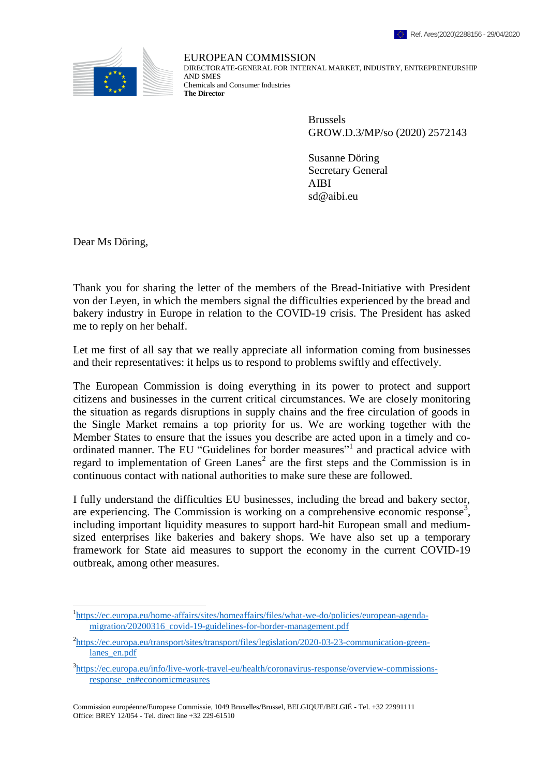

EUROPEAN COMMISSION DIRECTORATE-GENERAL FOR INTERNAL MARKET, INDUSTRY, ENTREPRENEURSHIP AND SMES Chemicals and Consumer Industries **The Director**

> Brussels GROW.D.3/MP/so (2020) 2572143

Susanne Döring Secretary General AIBI sd@aibi.eu

Dear Ms Döring,

 $\overline{a}$ 

Thank you for sharing the letter of the members of the Bread-Initiative with President von der Leyen, in which the members signal the difficulties experienced by the bread and bakery industry in Europe in relation to the COVID-19 crisis. The President has asked me to reply on her behalf.

Let me first of all say that we really appreciate all information coming from businesses and their representatives: it helps us to respond to problems swiftly and effectively.

The European Commission is doing everything in its power to protect and support citizens and businesses in the current critical circumstances. We are closely monitoring the situation as regards disruptions in supply chains and the free circulation of goods in the Single Market remains a top priority for us. We are working together with the Member States to ensure that the issues you describe are acted upon in a timely and coordinated manner. The EU "Guidelines for border measures"<sup>1</sup> and practical advice with regard to implementation of Green Lanes<sup>2</sup> are the first steps and the Commission is in continuous contact with national authorities to make sure these are followed.

I fully understand the difficulties EU businesses, including the bread and bakery sector, are experiencing. The Commission is working on a comprehensive economic response<sup>3</sup>, including important liquidity measures to support hard-hit European small and mediumsized enterprises like bakeries and bakery shops. We have also set up a temporary framework for State aid measures to support the economy in the current COVID-19 outbreak, among other measures.

<sup>&</sup>lt;sup>1</sup>[https://ec.europa.eu/home-affairs/sites/homeaffairs/files/what-we-do/policies/european-agenda](https://ec.europa.eu/home-affairs/sites/homeaffairs/files/what-we-do/policies/european-agenda-migration/20200316_covid-19-guidelines-for-border-management.pdf)[migration/20200316\\_covid-19-guidelines-for-border-management.pdf](https://ec.europa.eu/home-affairs/sites/homeaffairs/files/what-we-do/policies/european-agenda-migration/20200316_covid-19-guidelines-for-border-management.pdf)

<sup>&</sup>lt;sup>2</sup>[https://ec.europa.eu/transport/sites/transport/files/legislation/2020-03-23-communication-green](https://ec.europa.eu/transport/sites/transport/files/legislation/2020-03-23-communication-green-lanes_en.pdf)[lanes\\_en.pdf](https://ec.europa.eu/transport/sites/transport/files/legislation/2020-03-23-communication-green-lanes_en.pdf)

<sup>&</sup>lt;sup>3</sup>[https://ec.europa.eu/info/live-work-travel-eu/health/coronavirus-response/overview-commissions](https://ec.europa.eu/info/live-work-travel-eu/health/coronavirus-response/overview-commissions-response_en#economicmeasures)[response\\_en#economicmeasures](https://ec.europa.eu/info/live-work-travel-eu/health/coronavirus-response/overview-commissions-response_en#economicmeasures)

Commission européenne/Europese Commissie, 1049 Bruxelles/Brussel, BELGIQUE/BELGIË - Tel. +32 22991111 Office: BREY 12/054 - Tel. direct line +32 229-61510